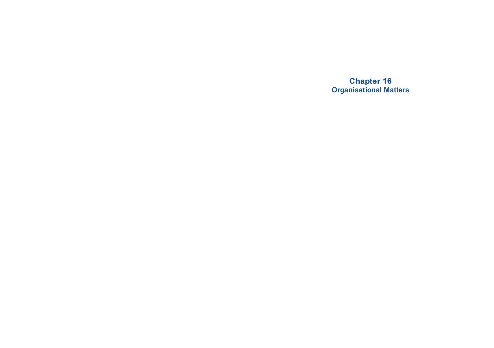**Chapter 16 Organisational Matters**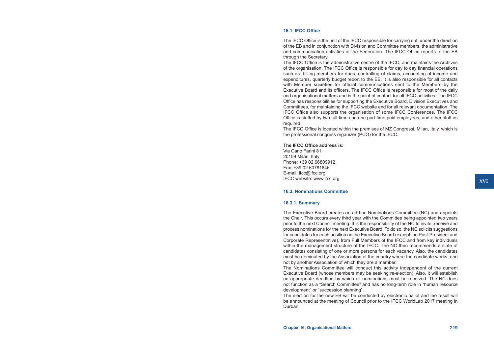# **16.1. IFCC Office**

The IFCC Office is the unit of the IFCC responsible for carrying out, under the direction of the EB and in conjunction with Division and Committee members, the administrative and communication activities of the Federation. The IFCC Office reports to the EB through the Secretary.

The IFCC Office is the administrative centre of the IFCC, and maintains the Archives of the organisation. The IFCC Office is responsible for day to day financial operations such as: billing members for dues, controlling of claims, accounting of income and expenditures, quarterly budget report to the EB. It is also responsible for all contacts with Member societies for official communications sent to the Members by the Executive Board and its officers. The IFCC Office is responsible for most of the daily and organisational matters and is the point of contact for all IFCC activities. The IFCC Office has responsibilities for supporting the Executive Board, Division Executives and Committees, for maintaining the IFCC website and for all relevant documentation. The IFCC Office also supports the organisation of some IFCC Conferences. The IFCC Office is staffed by two full-time and one part-time paid employees, and other staff as required.

The IFCC Office is located within the premises of MZ Congressi, Milan, Italy, which is the professional congress organizer (PCO) for the IFCC.

### **The IFCC Office address is:**

Via Carlo Farini 81 20159 Milan, Italy Phone: +39 02 66809912 Fax: +39 02 60781846 E-mail: ifcc@ifcc.org IFCC website: www.ifcc.org

### **16.3. Nominations Committee**

#### **16.3.1. Summary**

The Executive Board creates an ad hoc Nominations Committee (NC) and appoints the Chair. This occurs every third year with the Committee being appointed two years prior to the next Council meeting. It is the responsibility of the NC to invite, receive and process nominations for the next Executive Board. To do so, the NC solicits suggestions for candidates for each position on the Executive Board (except the Past-President and Corporate Representative), from Full Members of the IFCC and from key individuals within the management structure of the IFCC. The NC then recommends a slate of candidates consisting of one or more persons for each vacancy. Also, the candidates must be nominated by the Association of the country where the candidate works, and not by another Association of which they are a member.

The Nominations Committee will conduct this activity independent of the current Executive Board (whose members may be seeking re-election). Also, it will establish an appropriate deadline by which all nominations must be received. The NC does not function as a "Search Committee" and has no long-term role in "human resource development" or "succession planning".

The election for the new EB will be conducted by electronic ballot and the result will be announced at the meeting of Council prior to the IFCC WorldLab 2017 meeting in Durban.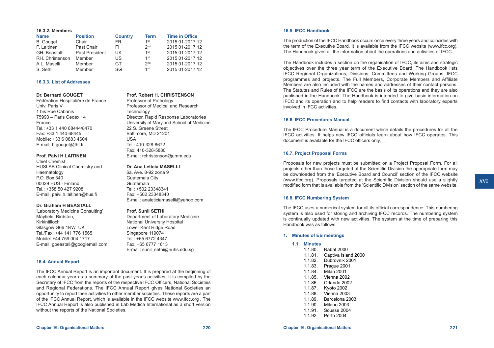### **16.3.2. Members**

| <b>Name</b>      | <b>Position</b> | <b>Country</b> | <b>Term</b>     | <b>Time in Office</b> |
|------------------|-----------------|----------------|-----------------|-----------------------|
| <b>B.</b> Gouget | Chair           | FR.            | 1 <sup>st</sup> | 2015 01-2017 12       |
| P. Laitinen      | Past Chair      | FI.            | 2 <sub>nd</sub> | 2015 01-2017 12       |
| GH. Beastall     | Past President  | UK             | 1 <sup>st</sup> | 2015 01-2017 12       |
| RH. Christenson  | Member          | US             | 1 <sup>st</sup> | 2015 01-2017 12       |
| A.L. Maselli     | Member          | GT.            | 2 <sub>nd</sub> | 2015 01-2017 12       |
| S. Sethi         | Member          | SG             | $1$ st          | 2015 01-2017 12       |

# **16.3.3. List of Addresses**

### **Dr. Bernard GOUGET**

Fédération Hospitalière de France Univ. Paris V 1 bis Rue Cabanis 75993 – Paris Cedex 14 France Tel.: +33 1 440 68444/8470 Fax: +33 1 440 68445 Mobile: +33 6 0883 4604 E-mail: [b.gouget@fhf.fr](mailto:b.gouget@fhf.fr)

### **Prof. Päivi H LAITINEN**

Chief Chemist HUSLAB Clinical Chemistry and Haematology P.O. Box 340 00029 HUS - Finland Tel.: +358 50 427 9208 E-mail: [paivi.h.laitinen@hus.fi](mailto:paivi.h.laitinen@hus.fi)

# **Dr. Graham H BEASTALL**

'Laboratory Medicine Consulting' Mayfield, Birdston, Kirkintilloch Glasgow G66 1RW UK Tel./Fax: +44 141 776 1565 Mobile: +44 759 004 1717 E-mail: gbeastall@googlemail.com

# **16.4. Annual Report**

The IFCC Annual Report is an important document. It is prepared at the beginning of each calendar year as a summary of the past year's activities. It is compiled by the Secretary of IFCC from the reports of the respective IFCC Officers, National Societies and Regional Federations. The IFCC Annual Report gives National Societies an opportunity to report their activities to other member societies. These reports are a part of the IFCC Annual Report, which is available in the IFCC website [www.ifcc.org](http://www.ifcc.org) . The IFCC Annual Report is also published in Lab Medica International as a short version without the reports of the National Societies.

# **Prof. Robert H. CHRISTENSON**

Professor of Pathology Professor of Medical and Research **Technology** Director, Rapid Response Laboratories University of Maryland School of Medicine 22 S. Greene Street Baltimore, MD 21201 USA Tel.: 410-328-8672 Fax: 410-328-5880 E-mail: rchristenson@umm.edu

### **Dr. Ana Leticia MASELLI**

6a. Ave. 8-92 zona 9 Guatemala City Guatemala Tel.: +502 23348341 Fax: +502 23348340 E-mail: [analeticiamaselli@yahoo.com](mailto:analeticiamaselli@yahoo.com)

# **Prof. Sunil SETHI**

Department of Laboratory Medicine National University Hospital Lower Kent Ridge Road Singapore 119074 Tel.: +65 6772 4347 Fax: +65 6777 1613 E-mail: sunil\_sethi@nuhs.edu.sg

# **16.5. IFCC Handbook**

The production of the IFCC Handbook occurs once every three years and coincides with the term of the Executive Board. It is available from the IFCC website ([www.ifcc.org](http://www.ifcc.org)). The Handbook gives all the information about the operations and activities of IFCC.

The Handbook includes a section on the organisation of IFCC, its aims and strategic objectives over the three year term of the Executive Board. The Handbook lists IFCC Regional Organizations, Divisions, Committees and Working Groups, IFCC programmes and projects. The Full Members, Corporate Members and Affiliate Members are also included with the names and addresses of their contact persons. The Statutes and Rules of the IFCC are the basis of its operations and they are also published in the Handbook. The Handbook is intended to give basic information on IFCC and its operation and to help readers to find contacts with laboratory experts involved in IFCC activities.

# **16.6. IFCC Procedures Manual**

The IFCC Procedure Manual is a document which details the procedures for all the IFCC activities. It helps new IFCC officials learn about how IFCC operates. This document is available for the IFCC officers only.

# **16.7. Project Proposal Forms**

Proposals for new projects must be submitted on a Project Proposal Form. For all projects other than those targeted at the Scientific Division the appropriate form may be downloaded from the 'Executive Board and Council' section of the IFCC website ([www.ifcc.org\)](http://www.ifcc.org). Proposals targeted at the Scientific Division should use a slightly modified form that is available from the 'Scientific Division' section of the same website.

The IFCC uses a numerical system for all its official correspondence. This numbering system is also used for storing and archiving IFCC records. The numbering system is continually updated with new activities. The system at the time of preparing this Handbook was as follows.

### **1. Minutes of EB meetings**

**16.8. IFCC Numbering System**

| 1.1. | <b>Minutes</b> |  |
|------|----------------|--|
|      | 110 O          |  |

| 1.1.80. | Rabat 2000          |
|---------|---------------------|
| 1.1.81. | Captiva Island 2000 |

- 1.1.82. Dubrovnik 2001
- 1.1.83. Prague 2001
- 1.1.84. Milan 2001
- 1.1.85. Vienna 2002
- 1.1.86. Orlando 2002
- 1.1.87. Kyoto 2002
- 1.1.88. Vienna 2003
- 1.1.89. Barcelona 2003
- 1.1.90. Milano 2003
- 1.1.91. Sousse 2004
- 1.1.92. Perth 2004
-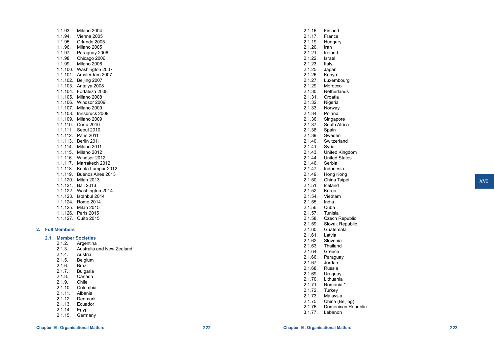| 1.1.93.  | Milano 2004       |
|----------|-------------------|
| 1.1.94.  | Vienna 2005       |
| 1.1.95.  | Orlando 2005      |
| 1.1.96.  | Milano 2005       |
| 1.1.97.  | Paraguay 2006     |
| 1.1.98.  | Chicago 2006      |
| 1.1.99.  | Milano 2006       |
| 1.1.100. | Washington 2007   |
| 1.1.101. | Amsterdam 2007    |
| 1.1.102. | Beijing 2007      |
| 1.1.103. | Antalya 2008      |
| 1.1.104. | Fortaleza 2008    |
| 1.1.105. | Milano 2008       |
| 1.1.106. | Windsor 2009      |
| 1.1.107. | Milano 2009       |
| 1.1.108. | Innsbruck 2009    |
| 1.1.109. | Milano 2009       |
| 1.1.110. | Corfu 2010        |
| 1.1.111. | Seoul 2010        |
| 1.1.112. | Paris 2011        |
| 1.1.113. | Berlin 2011       |
| 1.1.114. | Milano 2011       |
| 1.1.115. | Milano 2012       |
| 1.1.116. | Windsor 2012      |
| 1.1.117. | Marrakech 2012    |
| 1.1.118. | Kuala Lumpur 2012 |
| 1.1.119. | Buenos Aires 2013 |
| 1.1.120. | <b>Milan 2013</b> |
| 1.1.121. | <b>Bali 2013</b>  |
| 1.1.122. | Washington 2014   |
| 1.1.123. | Istanbul 2014     |
| 1.1.124. | Rome 2014         |
| 1.1.125. | <b>Milan 2015</b> |
| 1.1.126. | Paris 2015        |
| 1.1.127. | Quito 2015        |

# **2. Full Members**

# **2.1. Member Societies**

- 2.1.2. Argentina
- 2.1.3. Australia and New Zealand
- 2.1.4. Austria<br>2.1.5. Belgium
- Belgium<br>Brazil
- $2.1.6.$ <br> $2.1.7.$
- 2.1.7. Bulgaria<br>2.1.8. Canada
- Canada<br>Chile
- $2.1.9.$ 2.1.10. Colombia
- 2.1.11. Albania
- 2.1.12. Denmark
- 2.1.13. Ecuador
- 2.1.14. Egypt
- 2.1.15. Germany

| 2.1.16.            | Finland               |
|--------------------|-----------------------|
| 2.1.17.<br>2.1.19. | France                |
|                    | Hungary               |
| 2.1.20.            | Iran                  |
| 2.1.21.            | Ireland               |
| 2.1.22.            | Israel                |
| 2.1.23.            | Italy                 |
| 2.1.25.            | Japan                 |
| 2.1.26.            | Kenya                 |
| 2.1.27.            | Luxembourg            |
| 2.1.29.            | Morocco               |
| 2.1.30.            | Netherlands           |
| 2.1.31.            | Croatia               |
| 2.1.32.            | Nigeria               |
| 2.1.33.            | Norway                |
| 2.1.34.            | Poland                |
| 2.1.36.            | Singapore             |
| 2.1.37.            | South Africa          |
| 2.1.38.            | Spain                 |
| 2.1.39.            | Sweden                |
| 2.1.40.            | Switzerland           |
| 2.1.41.            | Syria                 |
| 2.1.43.            | United Kingdom        |
| 2.1.44.            | <b>United States</b>  |
| 2.1.46.            | Serbia                |
| 2.1.47.            | Indonesia             |
| 2.1.49.            | Hong Kong             |
| 2.1.50.            | China Taipei          |
| 2.1.51.            | Iceland               |
| 2.1.52.            | Korea                 |
| 2.1.54.            | Vietnam               |
| 2.1.55.            | India                 |
| 2.1.56.            | Cuba                  |
| 2.1.57.            | Tunisia               |
| 2.1.58.            | <b>Czech Republic</b> |
| 2.1.59.            | Slovak Republic       |
| 2.1.60.            | Guatemala             |
| 2.1.61.            | Latvia                |
| 2.1.62.            | Slovenia              |
| 2.1.63.            | Thailand              |
| 2.1.64.            | Greece                |
| 2.1.66.            | Paraguay              |
| 2.1.67.            | Jordan                |
| 2.1.68.            | Russia                |
| 2.1.69.            | Uruguay               |
| 2.1.70.            | Lithuania             |
| 2.1.71.            | Romania *             |
| 2.1.72.            | <b>Turkey</b>         |
| 2.1.73.            | Malaysia              |
| 2.1.75.            | China (Beijing)       |
| 2.1.76.            | Domenican Republic    |

3.1.77. Lebanon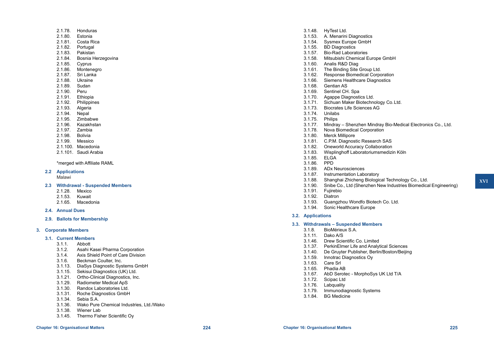- 2.1.78. Honduras
- 2.1.80. Estonia
- 2.1.81. Costa Rica
- 2.1.82. Portugal
- 2.1.83. Pakistan
- 2.1.84. Bosnia Herzegovina
- 2.1.85. Cyprus
- 2.1.86. Montenegro
- 2.1.87. Sri Lanka
- 2.1.88. Ukraine
- 
- 2.1.89. Sudan<br>2.1.90. Peru  $2.1.90.$
- 2.1.91. Ethiopia
- 2.1.92. Philippines<br>2.1.93. Algeria
- Algeria
- 2.1.94. Nepal<br>2.1.95. Zimba
- Zimbabwe
- 2.1.96. Kazakhstan
- 2.1.97. Zambia
- 2.1.98. Bolivia
- 2.1.99. Messico
- 2.1.100. Macedonia
- 2.1.101. Saudi Arabia

\*merged with Affiliate RAML

### **2.2 Applications**

Malawi

### **2.3 Withdrawal - Suspended Members**

- 2.1.28. Mexico
- 2.1.53. Kuwait
- 2.1.65. Macedonia

### **2.4. Annual Dues**

**2.9. Ballots for Membership**

# **3. Corporate Members**

# **3.1. Current Members**

- $3.1.1$
- 3.1.2. Asahi Kasei Pharma Corporation
- 3.1.4. Axis Shield Point of Care Division
- Beckman Coulter, Inc.
- 3.1.13. DiaSys Diagnostic Systems GmbH
- 3.1.15. Sekisui Diagnostics (UK) Ltd.
- 3.1.21. Ortho-Clinical Diagnostics, Inc.
- 3.1.29. Radiometer Medical ApS<br>3.1.30 Randox Laboratories Ltd
- Randox Laboratories Ltd.
- 3.1.31. Roche Diagnostics GmbH
- 3.1.34. Sebia S.A.
- 3.1.36. Wako Pure Chemical Industries, Ltd./Wako
- 3.1.38. Wiener Lab
- 3.1.45. Thermo Fisher Scientific Oy
- 3.1.48. HyTest Ltd.
- 3.1.53. A. Menarini Diagnostics
- 3.1.54. Sysmex Europe GmbH
- 3.1.55. BD Diagnostics
- 3.1.57. Bio-Rad Laboratories
- 3.1.58. Mitsubishi Chemical Europe GmbH
- 3.1.60. Analis R&D Diag
- 3.1.61. The Binding Site Group Ltd.
- 3.1.62. Response Biomedical Corporation
- 3.1.66. Siemens Healthcare Diagnostics
- 3.1.68. Gentian AS
- 3.1.69. Sentinel CH. Spa
- 3.1.70. Agappe Diagnostics Ltd.
- 3.1.71. Sichuan Maker Biotechnology Co.Ltd.
	- 3.1.73. Biocrates Life Sciences AG
- 3.1.74. Unilabs
- 3.1.75. Philips
- 3.1.77. Mindray Shenzhen Mindray Bio-Medical Electronics Co., Ltd.
- 3.1.78. Nova Biomedical Corporation
- 3.1.80. Merck Millipore
- 3.1.81. C.P.M. Diagnostic Research SAS
- 3.1.82. Oneworld Accuracy Collaboration
- 3.1.83. Wisplinghoff Laboratoriumsmedizin Köln
- 3.1.85. ELGA
- 3.1.86. PPD
- 3.1.89. ADx Neurosciences
- 3.1.87. Instrumentation Laboratory
- 3.1.88. Shanghai Zhicheng Biological Technology Co., Ltd.
- 3.1.90. Snibe Co., Ltd (Shenzhen New Industries Biomedical Engineering)
- **Fujirebio**
- 3.1.92. Diatron
- 3.1.93. Guangzhou Wondfo Biotech Co. Ltd.
- 3.1.94. Sonic Healthcare Europe

# **3.2. Applications**

# **3.3. Withdrawals – Suspended Members**

- BioMérieux S.A.
- 3.1.11. Dako A/S
- 3.1.46. Drew Scientific Co. Limited
- 3.1.37. PerkinElmer Life and Analytical Sciences
- 3.1.40. De Gruyter Publisher, Berlin/Boston/Beijing
- 3.1.59. Innotrac Diagnostics Oy
- 3.1.63. Care Srl
- 3.1.65. Phadia AB
- 3.1.67. AbD Serotec MorphoSys UK Ltd T/A
- 3.1.72. Scipac Ltd
- 3.1.76. Labquality
- 3.1.79. Immunodiagnostic Systems
- 3.1.84. BG Medicine

**XVI**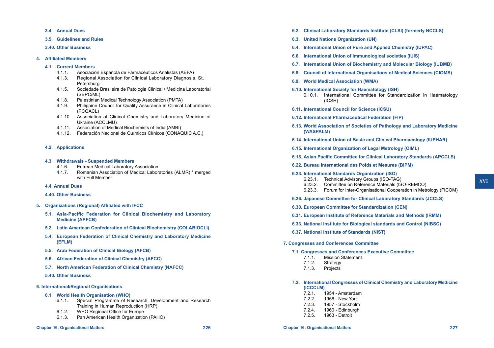- **3.4. Annual Dues**
- **3.5. Guidelines and Rules**
- **3.40. Other Business**

### **4. Affiliated Members**

### **4.1. Current Members**

- 4.1.1. Asociación Española de Farmacéuticos Analístas (AEFA)
- 4.1.3. Regional Association for Clinical Laboratory Diagnosis, St. Petersburg
- 4.1.5. Sociedade Brasileira de Patologia Clinical / Medicina Laboratorial (SBPC/ML)
- 4.1.8. Palestinian Medical Technology Association (PMTA)
- 4.1.9. Philippine Council for Quality Assurance in Clinical Laboratories (PCQACL)
- 4.1.10. Association of Clinical Chemistry and Laboratory Medicine of Ukraine (ACCLMU)
- 4.1.11. Association of Medical Biochemists of India (AMBI)
- 4.1.12. Federación Nacional de Químicos Clínicos (CONAQUIC A.C.)

# **4.2. Applications**

# **4.3 Withdrawals - Suspended Members**

- **Eritrean Medical Laboratory Association**
- 4.1.7. Romanian Association of Medical Laboratories (ALMR) \* merged with Full Member

# **4.4. Annual Dues**

### **4.40. Other Business**

- **5. Organizations (Regional) Affiliated with IFCC**
	- **5.1. Asia-Pacific Federation for Clinical Biochemistry and Laboratory Medicine (APFCB)**
	- **5.2. Latin American Confederation of Clinical Biochemistry (COLABIOCLI)**
	- **5.4. European Federation of Clinical Chemistry and Laboratory Medicine (EFLM)**
	- **5.5. Arab Federation of Clinical Biology (AFCB)**
	- **5.6. African Federation of Clinical Chemistry (AFCC)**
	- **5.7. North American Federation of Clinical Chemistry (NAFCC)**
	- **5.40. Other Business**

# **6. International/Regional Organisations**

- **6.1 World Health Organisation (WHO)**
	- 6.1.1. Special Programme of Research, Development and Research Training in Human Reproduction (HRP)
	- 6.1.2. WHO Regional Office for Europe
	- 6.1.3. Pan American Health Organization (PAHO)
- **6.2. Clinical Laboratory Standards Institute (CLSI) (formerly NCCLS)**
- **6.3. United Nations Organization (UN)**
- **6.4. International Union of Pure and Applied Chemistry (IUPAC)**
- **6.6. International Union of Immunological societies (IUIS)**
- **6.7. International Union of Biochemistry and Molecular Biology (IUBMB)**
- **6.8. Council of International Organisations of Medical Sciences (CIOMS)**
- **6.9. World Medical Association (WMA)**
- **6.10. International Society for Haematology (ISH)**
	- 6.10.1. International Committee for Standardization in Haematology (ICSH)
- **6.11. International Council for Science (ICSU)**
- **6.12. International Pharmaceutical Federation (FIP)**
- **6.13. World Association of Societies of Pathology and Laboratory Medicine (WASPALM)**
- **6.14. International Union of Basic and Clinical Pharmacology (IUPHAR)**
- **6.15. International Organization of Legal Metrology (OIML)**
- **6.18. Asian Pacific Committee for Clinical Laboratory Standards (APCCLS)**
- **6.22. Bureau International des Poids et Mesures (BIPM)**
- **6.23. International Standards Organization (ISO)**
	- 6.23.1. Technical Advisory Groups (ISO-TAG)
	- 6.23.2. Committee on Reference Materials (ISO-REMCO)
	- 6.23.3. Forum for Inter-Organisational Cooperation in Metrology (FICOM)
- **6.26. Japanese Committee for Clinical Laboratory Standards (JCCLS)**
- **6.30. European Committee for Standardization (CEN)**
- **6.31. European Institute of Reference Materials and Methods (IRMM)**
- **6.33. National Institute for Biological standards and Control (NIBSC)**
- **6.37. National Institute of Standards (NIST)**
- **7. Congresses and Conferences Committee**
	- **7.1. Congresses and Conferences Executive Committee**
		- 7.1.1. Mission Statement
		- 7.1.2. Strategy
		- 7.1.3. Projects
	- **7.2. International Congresses of Clinical Chemistry and Laboratory Medicine (ICCCLM)**
		- 7.2.1. 1954 Amsterdam
		- 7.2.2. 1956 New York
		- 7.2.3. 1957 Stockholm
		- 7.2.4. 1960 Edinburgh
		- 1963 Detroit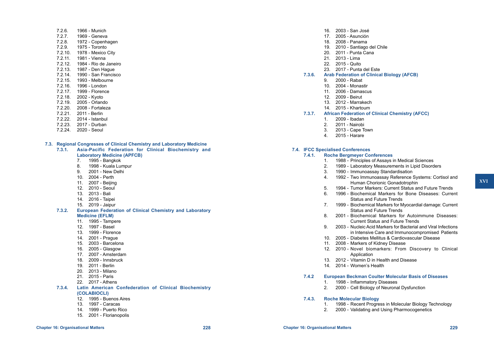- 7.2.6. 1966 Munich 7.2.7. 1969 - Geneva<br>7.2.8. 1972 - Copenh 1972 - Copenhagen 7.2.9. 1975 - Toronto 7.2.10. 1978 - Mexico City 7.2.11. 1981 - Vienna 7.2.12. 1984 - Rio de Janeiro 7.2.13. 1987 - Den Hague 7.2.14. 1990 - San Francisco 7.2.15. 1993 - Melbourne 7.2.16. 1996 - London 7.2.17. 1999 - Florence 7.2.18. 2002 - Kyoto 7.2.19. 2005 - Orlando 7.2.20. 2008 - Fortaleza 7.2.21. 2011 - Berlin 7.2.22. 2014 - Istanbul 7.2.23. 2017 - Durban
- 7.2.24. 2020 Seoul
- **7.3. Regional Congresses of Clinical Chemistry and Laboratory Medicine**
	- **7.3.1. Asia-Pacific Federation for Clinical Biochemistry and Laboratory Medicine (APFCB)**
		- 7. 1995 Bangkok
		- 8. 1998 Kuala Lumpur
		- 9. 2001 New Delhi
		- 10. 2004 Perth
		- 11. 2007 Beijing
		- 12. 2010 Seoul
		- 13. 2013 Bali
		- 14. 2016 Taipei
		- 15. 2019 Jaipur
	- **7.3.2. European Federation of Clinical Chemistry and Laboratory** 
		- **Medicine (EFLM)**
		- 11. 1995 Tampere
		- 12. 1997 Basel
		- 13. 1999 Florence
		- 14. 2001 Prague
		- 15. 2003 Barcelona
		- 16. 2005 Glasgow
		- 17. 2007 Amsterdam
		- 18. 2009 Innsbruck
		- 19. 2011 Berlin
		- 20. 2013 Milano
		- 21. 2015 Paris
		- 22. 2017 Athens
	- **7.3.4. Latin American Confederation of Clinical Biochemistry (COLABIOCLI)**
		- 12. 1995 Buenos Aires
		- 13. 1997 Caracas
		- 14. 1999 Puerto Rico
		- 15. 2001 Florianopolis
- 
- 16. 2003 San José
- 17. 2005 Asunción
- 18. 2008 Panama
- 19. 2010 Santiago del Chile
- 20. 2011 Punta Cana
- 21. 2013 Lima
- 22. 2015 Quito
- 23. 2017 Punta del Este
- **7.3.6. Arab Federation of Clinical Biology (AFCB)**
	- 9. 2000 Rabat
	- 10. 2004 Monastir
	- 11. 2006 Damascus
	- 12. 2009 Beirut
	- 13. 2012 Marrakech
	- 14. 2015 Khartoum
- **7.3.7. African Federation of Clinical Chemistry (AFCC)**
	- 1. 2009 Ibadan
	- 2. 2011 Nairobi
	- 3. 2013 Cape Town
	- 4. 2015 Harare

# **7.4. IFCC Specialised Conferences**

- **7.4.1. Roche Bergmeyer Conferences**
	- 1. 1988 Principles of Assays in Medical Sciences
	- 2. 1989 Laboratory Measurements in Lipid Disorders
	- 3. 1990 Immunoassay Standardisation
	- 4. 1992 Two Immunoassay Reference Systems: Cortisol and Human Chorionic Gonadotrophin
	- 5. 1994 Tumor Markers: Current Status and Future Trends
	- 6. 1996 Biochemical Markers for Bone Diseases: Current Status and Future Trends
	- 7. 1999 Biochemical Markers for Myocardial damage: Current Status and Future Trends
	- 8. 2001 Biochemical Markers for Autoimmune Diseases: Current Status and Future Trends
	- 9. 2003 Nucleic Acid Markers for Bacterial and Viral Infections in Intensive Care and Immunocompromised Patients
	- 10. 2005 Diabetes Mellitus & Cardiovascular Disease
	- 11. 2008 Markers of Kidney Disease
	- 12. 2010 Novel biomarkers: From Discovery to Clinical Application
	- 13. 2012 Vitamin D in Health and Disease
	- 14. 2014 Women's Health

# **7.4.2 European Beckman Coulter Molecular Basis of Diseases**

- 1. 1998 Inflammatory Diseases
- 2. 2000 Cell Biology of Neuronal Dysfunction

### **7.4.3. Roche Molecular Biology**

- 1. 1998 Recent Progress in Molecular Biology Technology
- 2. 2000 Validating and Using Pharmocogenetics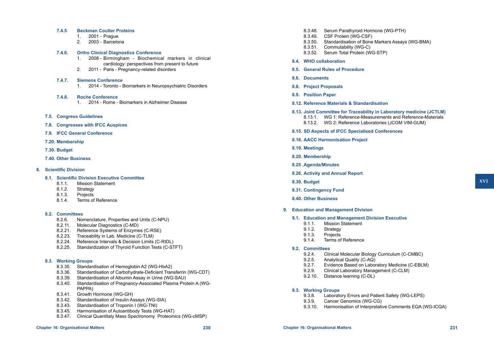- **7.4.5 Beckman Coulter Proteins**
	- 1. 2001 Prague
	- 2003 Barcelona

# **7.4.6. Ortho Clinical Diagnostics Conference**

- 1. 2008 Birmingham Biochemical markers in clinical cardiology: perspectives from present to future
- 2. 2011 Paris Pregnancy-related disorders

# **7.4.7. Siemens Conference**

1. 2014 - Toronto - Biomarkers in Neuropsychiatric Disorders

# **7.4.8. Roche Conference**

- 1. 2014 Rome Biomarkers in Alzheimer Disease
- **7.5. Congress Guidelines**
- **7.8. Congresses with IFCC Auspices**
- **7.9. IFCC General Conference**
- **7.20. Membership**

# **7.30. Budget**

**7.40. Other Business**

# **8. Scientific Division**

- **8.1. Scientific Division Executive Committee**
	- 8.1.1. Mission Statement
	- 8.1.2. Strategy
	- 8.1.3. Projects
	- 8.1.4. Terms of Reference

# **8.2. Committees**

- Nomenclature, Properties and Units (C-NPU)
- 8.2.11. Molecular Diagnostics (C-MD)
- 8.2.21. Reference Systems of Enzymes (C-RSE)
- 8.2.23. Traceability in Lab. Medicine (C-TLM)
- 8.2.24. Reference Intervals & Decision Limits (C-RIDL)
- 8.2.25. Standardization of Thyroid Function Tests (C-STFT)

# **8.3. Working Groups**

- 8.3.35. Standardisation of Hemoglobin A2 (WG-HbA2)
- 8.3.36. Standardisation of Carbohydrate-Deficient Transferrin (WG-CDT)
- 8.3.39. Standardisation of Albumin Assay in Urine (WG-SAU)
- 8.3.40. Standardisation of Pregnancy-Associated Plasma Protein A (WG-PAPPA)
- 8.3.41. Growth Hormone (WG-GH)
- 8.3.42. Standardisation of Insulin Assays (WG-SIA)
- 8.3.43. Standardisation of Troponin I (WG-TNI)
- 8.3.45. Harmonisation of Autoantibody Tests (WG-HAT)
- 8.3.47. Clinical Quantitaty Mass Spectronomy Proteomics (WG-cMSP)
- 8.3.48. Serum Parathyroid Hormone (WG-PTH)
- 8.3.49. CSF Protein (WG-CSF)
- 8.3.50. Standardisation of Bone Markers Assays (WG-BMA)
- 8.3.51. Commutability (WG-C)
- 8.3.52. Serum Total Protein (WG-STP)
- **8.4. WHO collaboration**
- **8.5. General Rules of Procedure**
- **8.6. Documents**
- **8.8. Project Proposals**
- **8.9. Position Paper**

# **8.12. Reference Materials & Standardisation**

- **8.13. Joint Committee for Traceability in Laboratory medicine (JCTLM)**
	- 8.13.1. WG 1: Reference-Measurements and Reference-Materials 8.13.2. WG 2: Reference Laboratories (JCGM VIM-GUM)

# **8.15. SD Aspects of IFCC Specialised Conferences**

- **8.16. AACC Harmonisation Project**
- **8.19. Meetings**
- **8.20. Membership**
- **8.25 .Agenda/Minutes**
- **8.26. Activity and Annual Report**
- **8.30. Budget**
- **8.31. Contingency Fund**
- **8.40. Other Business**
- **9. Education and Management Division**
	- **9.1. Education and Management Division Executive**
		- 9.1.1. Mission Statement<br>9.1.2. Strategy
		- Strategy
		- 9.1.3. Projects
		- 9.1.4. Terms of Reference

# **9.2. Committees**

- 9.2.4. Clinical Molecular Biology Curriculum (C-CMBC)
- 9.2.5. Analytical Quality (C-AQ)
- 9.2.7. Evidence Based on Laboratory Medicine (C-EBLM)
- 9.2.9. Clinical Laboratory Management (C-CLM)
- 9.2.10. Distance learning (C-DL)
- **9.3. Working Groups**
	- 9.3.8. Laboratory Errors and Patient Safety (WG-LEPS)<br>9.3.9. Cancer Genomics (WG-CG)
	- 9.3.9. Cancer Genomics (WG-CG)
	- 9.3.10. Harmonisation of Interpretative Comments EQA (WG-ICQA)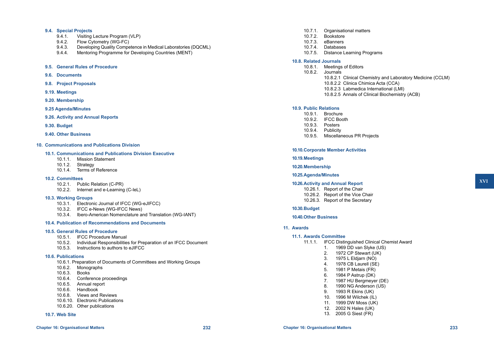### **9.4. Special Projects**

- 9.4.1. Visiting Lecture Program (VLP)
- 9.4.2. Flow Cytometry (WG-FC)
- 9.4.3. Developing Quality Competence in Medical Laboratories (DQCML)<br>9.4.4. Mentoring Programme for Developing Countries (MENT)
- Mentoring Programme for Developing Countries (MENT)

### **9.5. General Rules of Procedure**

- **9.6. Documents**
- **9.8. Project Proposals**
- **9.19. Meetings**
- **9.20. Membership**
- **9.25 Agenda/Minutes**
- **9.26. Activity and Annual Reports**
- **9.30. Budget**
- **9.40. Other Business**

### **10. Communications and Publications Division**

# **10.1. Communications and Publications Division Executive**

- 10.1.1. Mission Statement
- 10.1.2. Strategy
- 10.1.4. Terms of Reference

#### **10.2. Committees**

- 10.2.1. Public Relation (C-PR)
- 10.2.2. Internet and e-Learning (C-IeL)

### **10.3. Working Groups**

- 10.3.1. Electronic Journal of IFCC (WG-eJIFCC)
- 10.3.2. IFCC e-News (WG-IFCC News)
- 10.3.4. Ibero-American Nomenclature and Translation (WG-IANT)

### **10.4. Publication of Recommendations and Documents**

#### **10.5. General Rules of Procedure**

- 10.5.1. IFCC Procedure Manual
- 10.5.2. Individual Responsibilities for Preparation of an IFCC Document
- 10.5.3. Instructions to authors to eJIFCC

### **10.6. Publications**

- 10.6.1. Preparation of Documents of Committees and Working Groups
- 10.6.2. Monographs
- 10.6.3. Books
- 10.6.4. Conference proceedings
- 10.6.5. Annual report
- 10.6.6. Handbook
- 10.6.8. Views and Reviews
- 10.6.10. Electronic Publications
- 10.6.20. Other publications

# **10.7. Web Site**

- 10.7.1. Organisational matters
- 10.7.2. Bookstore
- 10.7.3. eBanners
- 10.7.4. Databases
- 10.7.5. Distance Learning Programs

### **10.8. Related Journals**

- 10.8.1. Meetings of Editors
- 10.8.2. Journals
	- 10.8.2.1 Clinical Chemistry and Laboratory Medicine (CCLM)
	- 10.8.2.2 Clinica Chimica Acta (CCA)
	- 10.8.2.3 Labmedica International (LMl)
	- 10.8.2.5 Annals of Clinical Biochemistry (ACB)

# **10.9. Public Relations**

- 10.9.1. Brochure
- 10.9.2. IFCC Booth
- 10.9.3. Posters
- 10.9.4. Publicity
- 10.9.5. Miscellaneous PR Projects

### **10.10.Corporate Member Activities**

# **10.19.Meetings**

### **10.20.Membership**

### **10.25.Agenda/Minutes**

### **10.26.Activity and Annual Report**

- 10.26.1. Report of the Chair
- 10.26.2. Report of the Vice Chair
- 10.26.3. Report of the Secretary

# **10.30.Budget**

### **10.40.Other Business**

### **11. Awards**

# **11.1. Awards Committee**

- 11.1.1. IFCC Distinguished Clinical Chemist Award
	- 1. 1969 DD van Slyke (US)
	- 2. 1972 CP Stewart (UK)
	- 3. 1975 L Eldjarn (NO)
	- 4. 1978 CB Laurell (SE)
	- 5. 1981 P Metais (FR)
	- 6. 1984 P Astrup (DK)
	- 7. 1987 HU Bergmeyer (DE)
	- 8. 1990 NG Anderson (US)
	- 9. 1993 R Ekins (UK)
	- 10. 1996 M Wilchek (IL)
	- 11. 1999 DW Moss (UK)
	- 12. 2002 N Hales (UK)
	- 13. 2005 G Siest (FR)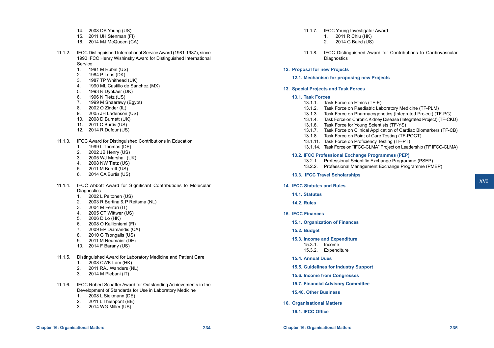- 14. 2008 DS Young (US)
- 15. 2011 UH Stenman (FI)
- 16. 2014 MJ McQueen (CA)
- 11.1.2. IFCC Distinguished International Service Award (1981-1987), since 1990 IFCC Henry Wishinsky Award for Distinguished International Service
	- 1. 1981 M Rubin (US)<br>2. 1984 P Lous (DK)
	- 1984 P Lous (DK)
	- 3. 1987 TP Whithead (UK)
	- 4. 1990 ML Castillo de Sanchez (MX)
	- 5. 1993 R Dybkaer (DK)
	- 6. 1996 N Tietz (US)
	- 7. 1999 M Shaarawy (Egypt)
	- 8. 2002 O Zinder (IL)
	- 9. 2005 JH Ladenson (US)
	- 10. 2008 D Burnett (UK)
	- 11. 2011 C Burtis (US)
	- 12. 2014 R Dufour (US)
- 11.1.3. IFCC Award for Distinguished Contributions in Education
	- 1. 1999 L Thomas (DE)
	- 2. 2002 JB Henry (US)
	- 3. 2005 WJ Marshall (UK)
	- 4. 2008 NW Tietz (US)
	- 5. 2011 M Burritt (US)
	- 6. 2014 CA Burtis (US)
- 11.1.4. IFCC Abbott Award for Significant Contributions to Molecular **Diagnostics** 
	- 1. 2002 L Peltonen (US)<br>2. 2003 R Bertina & P Re
	- 2. 2003 R Bertina & P Reitsma (NL)
	- 3. 2004 M Ferrari (IT)
	- 4. 2005 CT Wittwer (US)
	- 5. 2006 D Lo (HK)
	- 6. 2008 O Kallioniemi (FI)
	- 7. 2009 EP Diamandis (CA)
	- 8. 2010 G Tsongalis (US)
	- 9. 2011 M Neumaier (DE)
	- 10. 2014 F Barany (US)
- 11.1.5. Distinguished Award for Laboratory Medicine and Patient Care
	- 1. 2008 CWK Lam (HK)
	- 2. 2011 RAJ Wanders (NL)
	- 3. 2014 M Plebani (IT)
- 11.1.6. IFCC Robert Schaffer Award for Outstanding Achievements in the Development of Standards for Use in Laboratory Medicine
	- 1. 2008 L Siekmann (DE)<br>2. 2011 L Thienpont (BE)
	- 2011 L Thienpont (BE)
	- 3. 2014 WG Miller (US)
- 11.1.7. IFCC Young Investigator Award
	- 1. 2011 R Chiu (HK)
	- 2. 2014 G Baird (US)
- 11.1.8. IFCC Distinguished Award for Contributions to Cardiovascular **Diagnostics**
- **12. Proposal for new Projects**

### **12.1. Mechanism for proposing new Projects**

### **13. Special Projects and Task Forces**

### **13.1. Task Forces**

- 13.1.1. Task Force on Ethics (TF-E)
- 13.1.2. Task Force on Paediatric Laboratory Medicine (TF-PLM)
- 13.1.3. Task Force on Pharmacogenetics (Integrated Project) (TF-PG)
- 13.1.4. Task Force on Chronic Kidney Disease (Integrated Project) (TF-CKD)
- 13.1.6. Task Force for Young Scientists (TF-YS)
- 13.1.7. Task Force on Clinical Application of Cardiac Biomarkers (TF-CB)
- 13.1.8. Task Force on Point of Care Testing (TF-POCT)
- 13.1.11. Task Force on Proficiency Testing (TF-PT)
- 13.1.14. Task Force on "IFCC-CLMA" Project on Leadership (TF IFCC-CLMA)

### **13.2. IFCC Professional Exchange Programmes (PEP)**

- 13.2.1. Professional Scientific Exchange Programme (PSEP)
- 13.2.2. Professional Management Exchange Programme (PMEP)

### **13.3. IFCC Travel Scholarships**

### **14. IFCC Statutes and Rules**

- **14.1. Statutes**
- **14.2. Rules**
- **15. IFCC Finances**
	- **15.1. Organization of Finances**
	- **15.2. Budget**
	- **15.3. Income and Expenditure**
		- 15.3.1. Income
		- 15.3.2. Expenditure

# **15.4. Annual Dues**

- **15.5. Guidelines for Industry Support**
- **15.6. Income from Congresses**
- **15.7. Financial Advisory Committee**
- **15.40. Other Business**
- **16. Organisational Matters**

### **16.1. IFCC Office**